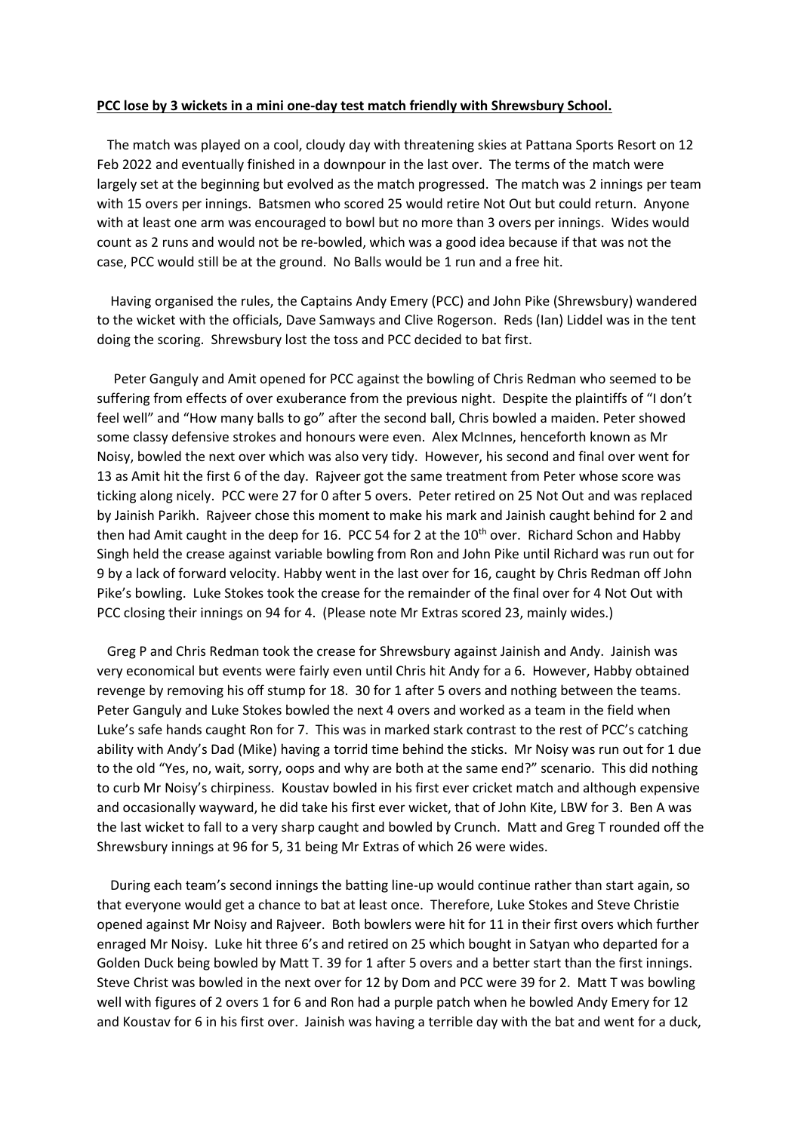## **PCC lose by 3 wickets in a mini one-day test match friendly with Shrewsbury School.**

 The match was played on a cool, cloudy day with threatening skies at Pattana Sports Resort on 12 Feb 2022 and eventually finished in a downpour in the last over. The terms of the match were largely set at the beginning but evolved as the match progressed. The match was 2 innings per team with 15 overs per innings. Batsmen who scored 25 would retire Not Out but could return. Anyone with at least one arm was encouraged to bowl but no more than 3 overs per innings. Wides would count as 2 runs and would not be re-bowled, which was a good idea because if that was not the case, PCC would still be at the ground. No Balls would be 1 run and a free hit.

 Having organised the rules, the Captains Andy Emery (PCC) and John Pike (Shrewsbury) wandered to the wicket with the officials, Dave Samways and Clive Rogerson. Reds (Ian) Liddel was in the tent doing the scoring. Shrewsbury lost the toss and PCC decided to bat first.

 Peter Ganguly and Amit opened for PCC against the bowling of Chris Redman who seemed to be suffering from effects of over exuberance from the previous night. Despite the plaintiffs of "I don't feel well" and "How many balls to go" after the second ball, Chris bowled a maiden. Peter showed some classy defensive strokes and honours were even. Alex McInnes, henceforth known as Mr Noisy, bowled the next over which was also very tidy. However, his second and final over went for 13 as Amit hit the first 6 of the day. Rajveer got the same treatment from Peter whose score was ticking along nicely. PCC were 27 for 0 after 5 overs. Peter retired on 25 Not Out and was replaced by Jainish Parikh. Rajveer chose this moment to make his mark and Jainish caught behind for 2 and then had Amit caught in the deep for 16. PCC 54 for 2 at the  $10<sup>th</sup>$  over. Richard Schon and Habby Singh held the crease against variable bowling from Ron and John Pike until Richard was run out for 9 by a lack of forward velocity. Habby went in the last over for 16, caught by Chris Redman off John Pike's bowling. Luke Stokes took the crease for the remainder of the final over for 4 Not Out with PCC closing their innings on 94 for 4. (Please note Mr Extras scored 23, mainly wides.)

 Greg P and Chris Redman took the crease for Shrewsbury against Jainish and Andy. Jainish was very economical but events were fairly even until Chris hit Andy for a 6. However, Habby obtained revenge by removing his off stump for 18. 30 for 1 after 5 overs and nothing between the teams. Peter Ganguly and Luke Stokes bowled the next 4 overs and worked as a team in the field when Luke's safe hands caught Ron for 7. This was in marked stark contrast to the rest of PCC's catching ability with Andy's Dad (Mike) having a torrid time behind the sticks. Mr Noisy was run out for 1 due to the old "Yes, no, wait, sorry, oops and why are both at the same end?" scenario. This did nothing to curb Mr Noisy's chirpiness. Koustav bowled in his first ever cricket match and although expensive and occasionally wayward, he did take his first ever wicket, that of John Kite, LBW for 3. Ben A was the last wicket to fall to a very sharp caught and bowled by Crunch. Matt and Greg T rounded off the Shrewsbury innings at 96 for 5, 31 being Mr Extras of which 26 were wides.

 During each team's second innings the batting line-up would continue rather than start again, so that everyone would get a chance to bat at least once. Therefore, Luke Stokes and Steve Christie opened against Mr Noisy and Rajveer. Both bowlers were hit for 11 in their first overs which further enraged Mr Noisy. Luke hit three 6's and retired on 25 which bought in Satyan who departed for a Golden Duck being bowled by Matt T. 39 for 1 after 5 overs and a better start than the first innings. Steve Christ was bowled in the next over for 12 by Dom and PCC were 39 for 2. Matt T was bowling well with figures of 2 overs 1 for 6 and Ron had a purple patch when he bowled Andy Emery for 12 and Koustav for 6 in his first over. Jainish was having a terrible day with the bat and went for a duck,